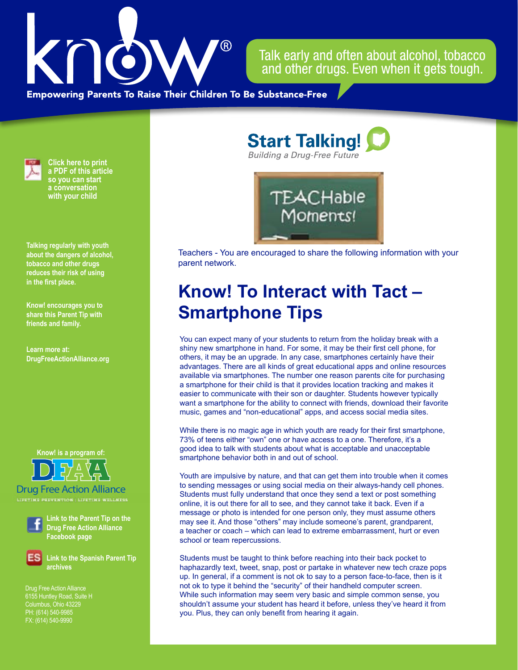

Talk early and often about alcohol, tobacco and other drugs. Even when it gets tough.

**Empowering Parents To Raise Their Children To Be Substance-Free** 



**Click here to print a PDF of this article so you can start a conversation with your child**

**Talking regularly with youth about the dangers of alcohol, tobacco and other drugs reduces their risk of using in the first place.**

**Know! encourages you to share this Parent Tip with friends and family.**

**Learn more at: DrugFreeActionAlliance.org**

**Know! is a program of:**



Drug Free Action Alliance **LIFETIME PREVENTION | LIFETIME WELLNESS**



**Link to the Parent Tip on the Drug Free Action Alliance Facebook page**

**Link to the Spanish Parent Tip archives**

Drug Free Action Alliance 6155 Huntley Road, Suite H PH: (614) 540-9985 FX: (614) 540-9990

**Start Talking! Building a Drug-Free Future** 



Teachers - You are encouraged to share the following information with your parent network.

## **Know! To Interact with Tact – Smartphone Tips**

You can expect many of your students to return from the holiday break with a shiny new smartphone in hand. For some, it may be their first cell phone, for others, it may be an upgrade. In any case, smartphones certainly have their advantages. There are all kinds of great educational apps and online resources available via smartphones. The number one reason parents cite for purchasing a smartphone for their child is that it provides location tracking and makes it easier to communicate with their son or daughter. Students however typically want a smartphone for the ability to connect with friends, download their favorite music, games and "non-educational" apps, and access social media sites.

While there is no magic age in which youth are ready for their first smartphone, 73% of teens either "own" one or have access to a one. Therefore, it's a good idea to talk with students about what is acceptable and unacceptable smartphone behavior both in and out of school.

Youth are impulsive by nature, and that can get them into trouble when it comes to sending messages or using social media on their always-handy cell phones. Students must fully understand that once they send a text or post something online, it is out there for all to see, and they cannot take it back. Even if a message or photo is intended for one person only, they must assume others may see it. And those "others" may include someone's parent, grandparent, a teacher or coach – which can lead to extreme embarrassment, hurt or even school or team repercussions.

Students must be taught to think before reaching into their back pocket to haphazardly text, tweet, snap, post or partake in whatever new tech craze pops up. In general, if a comment is not ok to say to a person face-to-face, then is it not ok to type it behind the "security" of their handheld computer screen. While such information may seem very basic and simple common sense, you shouldn't assume your student has heard it before, unless they've heard it from you. Plus, they can only benefit from hearing it again.